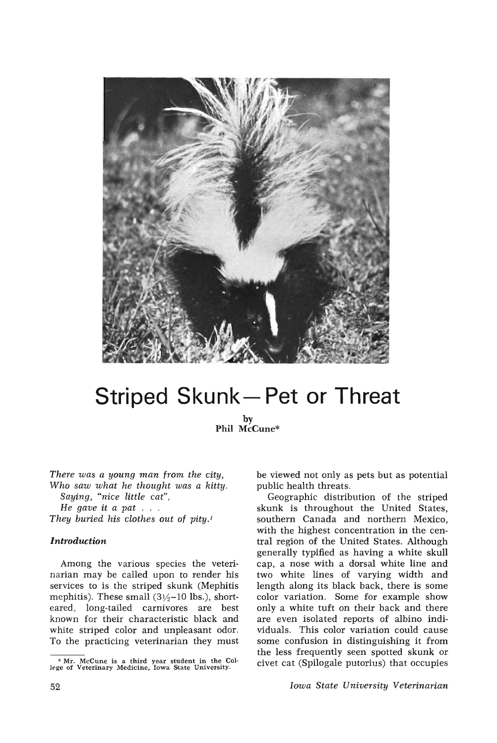

# **Striped Skunk- Pet or Threat**

by **Phil** McCune\*

*There was a young man from the city, Who saw what he thought was a kitty. Saying, "nice little cat", He gave* it *<sup>a</sup> pat .* .. *They buried his clothes out* of *pity.t*

### *Introduction*

Among the various species the veterinarian may be called upon to render his services to is the striped skunk (Mephitis mephitis). These small  $(3\frac{1}{2}-10 \text{ lbs.})$ , shorteared, long-tailed carnivores are best known for their characteristic black and white striped color and unpleasant odor. To the practicing veterinarian they must be viewed not only as pets but as potential public health threats.

Geographic distribution of the striped skunk is throughout the United States, southern Canada and northern Mexico, with the highest concentration in the central region of the United States. Although generally typified as having a white skull cap, a nose with a dorsal white line and two white lines of varying width and length along its black back, there is some color variation. Some for example show only a white tuft on their back and there are even isolated reports of albino individuals. This color variation could cause some confusion in distinguishing it from the less frequently seen spotted skunk or civet cat (Spilogale putorius) that occupies

*Iowa State University Veterinarian*

<sup>•</sup> Mr. McCune is a third year student in the Col-lege of Veterinary Medicine, Iowa State University.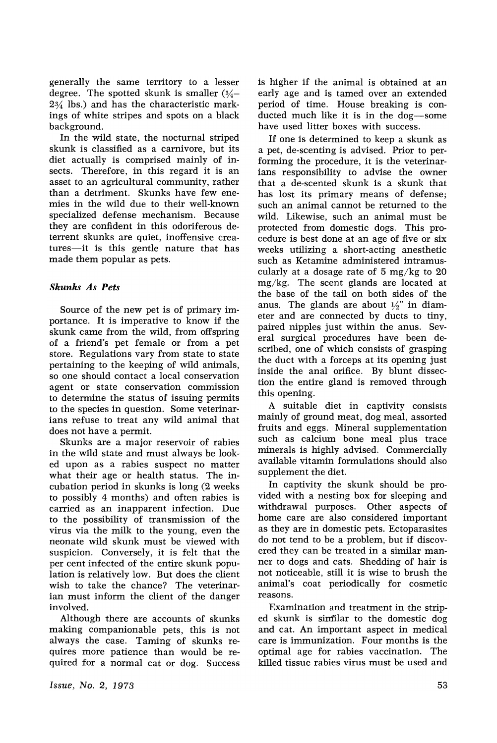generally the same territory to a lesser degree. The spotted skunk is smaller  $(3/4 2\frac{3}{4}$  lbs.) and has the characteristic markings of white stripes and spots on a black background.

In the wild state, the nocturnal striped skunk is classified as a carnivore, but its diet actually is comprised mainly of insects. Therefore, in this regard it is an asset to an agricultural community, rather than a detriment. Skunks have few enemies in the wild due to their well-known specialized defense mechanism. Because they are confident in this odoriferous deterrent skunks are quiet, inoffensive creatures-it is this gentle nature that has made them popular as pets.

## *Skunks As Pets*

Source of the new pet is of primary importance. It is imperative to know if the skunk came from the wild, from offspring of a friend~s pet female or from a pet store. Regulations vary from state to state pertaining to the keeping of wild animals, so one should contact a local conservation agent or state conservation commission to determine the status of issuing permits to the species in question. Some veterinarians refuse to treat any wild animal that does not have a permit.

Skunks are a major reservoir of rabies in the wild state and must always be looked upon as a rabies suspect no matter what their age or health status. The incubation period in skunks is long (2 weeks to possibly 4 months) and often rabies is carried as an inapparent infection. Due to the possibility of transmission of the virus via the milk to the young, even the neonate wild skunk must be viewed with suspicion. Conversely, it is felt that the per cent infected of the entire skunk population is relatively low. But does the client wish to take the chance? The veterinarian must inform the client of the danger involved.

Although there are accounts of skunks making companionable pets, this is not always the case. Taming of skunks requires more patience than would be required for a normal cat or dog. Success is higher if the animal is obtained at an early age and is tamed over an extended period of time. House breaking is conducted much like it is in the dog-some have used litter boxes with success.

If one is determined to keep a skunk as a pet, de-scenting is advised. Prior to performing the procedure, it is the veterinarians responsibility to advise the owner that a de-scented skunk is a skunk that has lost its primary means of defense; such an animal cannot be returned to the wild. Likewise, such an animal must be protected from domestic dogs. This procedure is best done at an age of five or six weeks utilizing a short-acting anesthetic such as Ketamine administered intramuscularly at a dosage rate of 5 mg/kg to 20 mg/kg. The scent glands are located at the base of the tail on both sides of the anus. The glands are about  $\frac{1}{2}$  in diameter and are connected by ducts to tiny, paired nipples just within the anus. Several surgical procedures have been described, one of which consists of grasping the duct with a forceps at its opening just inside the anal orifice. By blunt dissection the entire gland is removed through this opening.

A suitable diet in captivity consists mainly of ground meat, dog meal, assorted fruits and eggs. Mineral supplementation such as calcium bone meal plus trace minerals is highly advised. Commercially available vitamin formulations should also supplement the diet.

In captivity the skunk should be provided with a nesting box for sleeping and withdrawal purposes. Other aspects of home care are also considered important as they are in domestic pets. Ectoparasites do not tend to be a problem, but if discovered they can be treated in a similar manner to dogs and cats. Shedding of hair is not noticeable, still it is wise to brush the animal's coat periodically for cosmetic reasons.

Examination and treatment in the striped skunk is similar to the domestic dog and cat. An important aspect in medical care is immunization. Four months is the optimal age for rabies vaccination. The killed tissue rabies virus must be used and